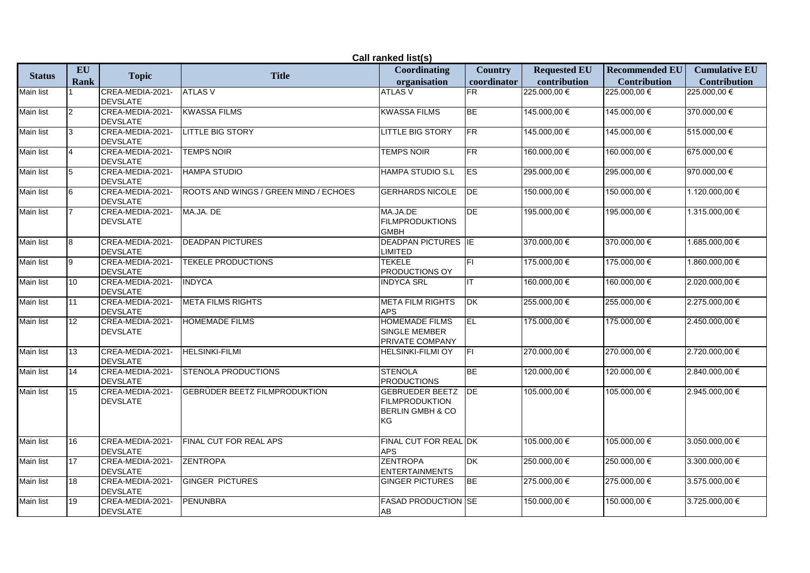| Call ranked list(s) |             |                                     |                                         |                                                                                      |                         |                     |                       |                      |  |
|---------------------|-------------|-------------------------------------|-----------------------------------------|--------------------------------------------------------------------------------------|-------------------------|---------------------|-----------------------|----------------------|--|
|                     | EU          |                                     | <b>Title</b>                            | <b>Coordinating</b>                                                                  | <b>Country</b>          | <b>Requested EU</b> | <b>Recommended EU</b> | <b>Cumulative EU</b> |  |
| <b>Status</b>       | <b>Rank</b> | <b>Topic</b>                        |                                         | organisation                                                                         | coordinator             | contribution        | <b>Contribution</b>   | <b>Contribution</b>  |  |
| Main list           |             | CREA-MEDIA-2021-<br><b>DEVSLATE</b> | <b>ATLAS V</b>                          | <b>ATLAS V</b>                                                                       | <b>IFR</b>              | 225.000,00 €        | 225.000,00 €          | 225.000,00 €         |  |
| Main list           | 2           | CREA-MEDIA-2021-<br><b>DEVSLATE</b> | <b>KWASSA FILMS</b>                     | <b>KWASSA FILMS</b>                                                                  | <b>BE</b>               | 145.000,00 €        | 145.000,00 €          | 370.000,00 €         |  |
| Main list           | 3           | CREA-MEDIA-2021-<br><b>DEVSLATE</b> | <b>LITTLE BIG STORY</b>                 | <b>LITTLE BIG STORY</b>                                                              | <b>FR</b>               | 145.000,00 €        | 145.000,00 €          | 515.000,00 €         |  |
| Main list           |             | CREA-MEDIA-2021-<br><b>DEVSLATE</b> | <b>TEMPS NOIR</b>                       | <b>TEMPS NOIR</b>                                                                    | FR                      | 160.000,00 €        | 160.000,00 €          | 675.000,00 €         |  |
| Main list           |             | CREA-MEDIA-2021-<br><b>DEVSLATE</b> | <b>HAMPA STUDIO</b>                     | HAMPA STUDIO S.L                                                                     | <b>ES</b>               | 295.000,00 €        | 295.000,00 €          | 970.000,00 €         |  |
| Main list           | 6           | CREA-MEDIA-2021-<br><b>DEVSLATE</b> | ROOTS AND WINGS / GREEN MIND / ECHOES   | <b>GERHARDS NICOLE</b>                                                               | DE                      | 150.000,00 €        | 150.000,00 €          | 1.120.000,00 €       |  |
| Main list           |             | CREA-MEDIA-2021-<br><b>DEVSLATE</b> | MA.JA. DE                               | MA.JA.DE<br><b>FILMPRODUKTIONS</b><br><b>GMBH</b>                                    | DE                      | 195.000,00 €        | 195.000,00 €          | 1.315.000,00 €       |  |
| Main list           | l8          | CREA-MEDIA-2021-<br><b>DEVSLATE</b> | <b>DEADPAN PICTURES</b>                 | <b>DEADPAN PICTURES</b> IE<br><b>LIMITED</b>                                         |                         | 370.000,00€         | 370.000,00 €          | 1.685.000,00 €       |  |
| Main list           | 9           | CREA-MEDIA-2021-<br><b>DEVSLATE</b> | <b>TEKELE PRODUCTIONS</b>               | <b>TEKELE</b><br>PRODUCTIONS OY                                                      | IFI.                    | 175.000,00 €        | 175.000,00 €          | $1.860.000,00 \in$   |  |
| Main list           | 10          | CREA-MEDIA-2021-<br><b>DEVSLATE</b> | <b>INDYCA</b>                           | <b>INDYCA SRL</b>                                                                    | IT                      | 160.000,00 €        | 160.000,00 €          | 2.020.000,00 €       |  |
| <b>Main list</b>    | 11          | CREA-MEDIA-2021-<br><b>DEVSLATE</b> | <b>META FILMS RIGHTS</b>                | <b>META FILM RIGHTS</b><br><b>APS</b>                                                | DK                      | 255.000,00 €        | 255.000,00 €          | 2.275.000,00 €       |  |
| Main list           | 12          | CREA-MEDIA-2021-<br><b>DEVSLATE</b> | <b>HOMEMADE FILMS</b>                   | <b>HOMEMADE FILMS</b><br><b>SINGLE MEMBER</b><br>PRIVATE COMPANY                     | EL                      | 175.000,00 €        | 175.000,00 €          | $2.450.000,00 \in$   |  |
| Main list           | 13          | CREA-MEDIA-2021-<br><b>DEVSLATE</b> | <b>HELSINKI-FILMI</b>                   | <b>HELSINKI-FILMI OY</b>                                                             | $\overline{\mathbb{F}}$ | 270.000,00€         | 270.000,00 €          | 2.720.000,00 €       |  |
| Main list           | 14          | CREA-MEDIA-2021-<br><b>DEVSLATE</b> | STENOLA PRODUCTIONS                     | <b>STENOLA</b><br><b>PRODUCTIONS</b>                                                 | <b>BE</b>               | 120.000,00 €        | 120.000,00 €          | 2.840.000,00 €       |  |
| Main list           | 15          | CREA-MEDIA-2021-<br><b>DEVSLATE</b> | GEBRÜDER BEETZ FILMPRODUKTION           | <b>GEBRUEDER BEETZ</b><br><b>FILMPRODUKTION</b><br><b>BERLIN GMBH &amp; CO</b><br>KG | DE                      | 105.000,00 €        | 105.000,00 €          | 2.945.000,00 €       |  |
| Main list           | 16          | <b>DEVSLATE</b>                     | CREA-MEDIA-2021- FINAL CUT FOR REAL APS | FINAL CUT FOR REAL DK<br><b>APS</b>                                                  |                         | 105.000,00 €        | 105.000,00 €          | 3.050.000,00 €       |  |
| Main list           | 17          | CREA-MEDIA-2021-<br><b>DEVSLATE</b> | <b>ZENTROPA</b>                         | <b>ZENTROPA</b><br><b>ENTERTAINMENTS</b>                                             | DK                      | 250.000,00€         | 250.000,00 €          | $3.300.000,00 \in$   |  |
| Main list           | 18          | CREA-MEDIA-2021-<br><b>DEVSLATE</b> | <b>GINGER PICTURES</b>                  | <b>GINGER PICTURES</b>                                                               | <b>BE</b>               | 275.000,00 €        | 275.000,00 €          | 3.575.000,00 €       |  |
| Main list           | 19          | CREA-MEDIA-2021-<br>DEVSLATE        | <b>PENUNBRA</b>                         | <b>FASAD PRODUCTION SE</b><br>AB                                                     |                         | 150.000,00 €        | 150.000,00 €          | $3.725.000,00 \in$   |  |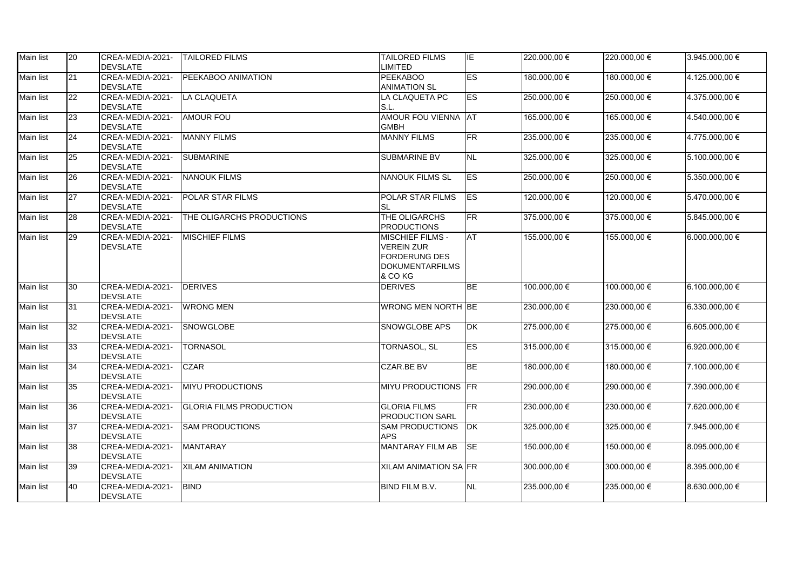| Main list | 20              | CREA-MEDIA-2021- TAILORED FILMS     |                                | <b>TAILORED FILMS</b>                  | IE.                               | 220.000.00 € | 220.000.00 € | 3.945.000,00 €     |
|-----------|-----------------|-------------------------------------|--------------------------------|----------------------------------------|-----------------------------------|--------------|--------------|--------------------|
|           |                 | DEVSLATE                            |                                | <b>LIMITED</b>                         |                                   |              |              |                    |
| Main list | 21              | CREA-MEDIA-2021-<br><b>DEVSLATE</b> | PEEKABOO ANIMATION             | <b>PEEKABOO</b><br><b>ANIMATION SL</b> | ES                                | 180.000,00 € | 180.000,00 € | 4.125.000,00 €     |
| Main list | 22              | CREA-MEDIA-2021-                    | LA CLAQUETA                    | LA CLAQUETA PC                         | ES                                | 250.000,00 € | 250.000,00 € | 4.375.000,00 €     |
|           |                 | <b>DEVSLATE</b>                     |                                | S.L.                                   |                                   |              |              |                    |
| Main list | 23              | CREA-MEDIA-2021-                    | <b>AMOUR FOU</b>               | AMOUR FOU VIENNA AT                    |                                   | 165.000,00 € | 165.000,00 € | 4.540.000,00 €     |
|           |                 | <b>DEVSLATE</b>                     |                                | <b>GMBH</b>                            |                                   |              |              |                    |
| Main list | 24              | CREA-MEDIA-2021-                    | <b>MANNY FILMS</b>             | <b>MANNY FILMS</b>                     | FR                                | 235.000,00 € | 235.000,00 € | 4.775.000,00 €     |
|           |                 | <b>DEVSLATE</b>                     |                                |                                        |                                   |              |              |                    |
| Main list | 25              | CREA-MEDIA-2021-                    | <b>SUBMARINE</b>               | <b>SUBMARINE BV</b>                    | <b>NL</b>                         | 325.000,00 € | 325.000,00 € | $5.100.000,00 \in$ |
|           |                 | <b>DEVSLATE</b>                     |                                |                                        |                                   |              |              |                    |
| Main list | 26              | CREA-MEDIA-2021-                    | <b>NANOUK FILMS</b>            | <b>NANOUK FILMS SL</b>                 | ES                                | 250.000,00 € | 250.000,00 € | 5.350.000,00 €     |
|           |                 | <b>DEVSLATE</b>                     |                                |                                        |                                   |              |              |                    |
| Main list | 27              | CREA-MEDIA-2021-                    | <b>POLAR STAR FILMS</b>        | <b>POLAR STAR FILMS</b>                | <b>ES</b>                         | 120.000,00 € | 120.000,00 € | 5.470.000,00 €     |
|           |                 | <b>DEVSLATE</b>                     |                                | <b>SL</b>                              |                                   |              |              |                    |
| Main list | 28              | CREA-MEDIA-2021-                    | THE OLIGARCHS PRODUCTIONS      | THE OLIGARCHS                          | FR.                               | 375.000,00 € | 375.000,00 € | 5.845.000,00 €     |
|           |                 | <b>DEVSLATE</b>                     |                                | <b>PRODUCTIONS</b>                     |                                   |              |              |                    |
| Main list | 29              | CREA-MEDIA-2021-                    | <b>MISCHIEF FILMS</b>          | <b>MISCHIEF FILMS -</b>                | <b>AT</b>                         | 155.000,00 € | 155.000,00 € | $6.000.000,00 \in$ |
|           |                 | <b>DEVSLATE</b>                     |                                | <b>VEREIN ZUR</b>                      |                                   |              |              |                    |
|           |                 |                                     |                                | FORDERUNG DES                          |                                   |              |              |                    |
|           |                 |                                     |                                | <b>DOKUMENTARFILMS</b>                 |                                   |              |              |                    |
|           |                 |                                     |                                | & CO KG                                |                                   |              |              |                    |
| Main list | 30              | CREA-MEDIA-2021-                    | <b>DERIVES</b>                 | <b>DERIVES</b>                         | <b>BE</b>                         | 100.000,00 € | 100.000,00 € | 6.100.000,00 €     |
|           |                 | DEVSLATE                            |                                |                                        |                                   |              |              |                    |
| Main list | 31              | CREA-MEDIA-2021-                    | <b>WRONG MEN</b>               | <b>WRONG MEN NORTH BE</b>              |                                   | 230.000,00 € | 230.000,00 € | 6.330.000,00 €     |
|           |                 | <b>DEVSLATE</b>                     |                                |                                        |                                   |              |              |                    |
| Main list | 32              | CREA-MEDIA-2021-                    | <b>SNOWGLOBE</b>               | <b>SNOWGLOBE APS</b>                   | $\overline{\mathsf{D}\mathsf{K}}$ | 275.000,00 € | 275.000,00 € | 6.605.000,00 €     |
|           |                 | <b>DEVSLATE</b>                     |                                |                                        |                                   |              |              |                    |
| Main list | $\overline{33}$ | CREA-MEDIA-2021-                    | <b>TORNASOL</b>                | <b>TORNASOL, SL</b>                    | ES                                | 315.000,00 € | 315.000,00 € | 6.920.000,00 €     |
|           |                 | <b>DEVSLATE</b>                     |                                |                                        |                                   |              |              |                    |
| Main list | 34              | CREA-MEDIA-2021-                    | <b>CZAR</b>                    | <b>CZAR.BE BV</b>                      | <b>BE</b>                         | 180.000,00 € | 180.000,00 € | 7.100.000,00 €     |
|           |                 | <b>DEVSLATE</b>                     |                                |                                        |                                   |              |              |                    |
| Main list | $\overline{35}$ | CREA-MEDIA-2021-                    | <b>MIYU PRODUCTIONS</b>        | MIYU PRODUCTIONS FR                    |                                   | 290.000,00 € | 290.000,00 € | 7.390.000,00 €     |
|           |                 | <b>DEVSLATE</b>                     |                                |                                        |                                   |              |              |                    |
| Main list | 36              | CREA-MEDIA-2021-                    | <b>GLORIA FILMS PRODUCTION</b> | <b>GLORIA FILMS</b>                    | FR                                | 230.000,00 € | 230.000,00 € | 7.620.000,00 €     |
|           |                 | <b>DEVSLATE</b>                     |                                | <b>PRODUCTION SARL</b>                 |                                   |              |              |                    |
| Main list | 37              | CREA-MEDIA-2021-                    | <b>SAM PRODUCTIONS</b>         | <b>SAM PRODUCTIONS</b>                 | <b>DK</b>                         | 325.000,00 € | 325.000,00 € | 7.945.000,00 €     |
|           |                 | <b>DEVSLATE</b>                     |                                | <b>APS</b>                             |                                   |              |              |                    |
| Main list | 38              | CREA-MEDIA-2021-                    | <b>MANTARAY</b>                | <b>MANTARAY FILM AB</b>                | <b>SE</b>                         | 150.000,00 € | 150.000,00 € | 8.095.000,00 €     |
|           |                 | <b>DEVSLATE</b>                     |                                |                                        |                                   |              |              |                    |
| Main list | 39              | CREA-MEDIA-2021- XILAM ANIMATION    |                                | <b>XILAM ANIMATION SA FR</b>           |                                   | 300.000,00 € | 300.000,00 € | 8.395.000,00 €     |
|           |                 | <b>DEVSLATE</b>                     |                                |                                        |                                   |              |              |                    |
| Main list | 40              | CREA-MEDIA-2021-                    | BIND                           | <b>BIND FILM B.V.</b>                  | <b>NL</b>                         | 235.000,00 € | 235.000,00 € | 8.630.000,00 €     |
|           |                 | <b>DEVSLATE</b>                     |                                |                                        |                                   |              |              |                    |
|           |                 |                                     |                                |                                        |                                   |              |              |                    |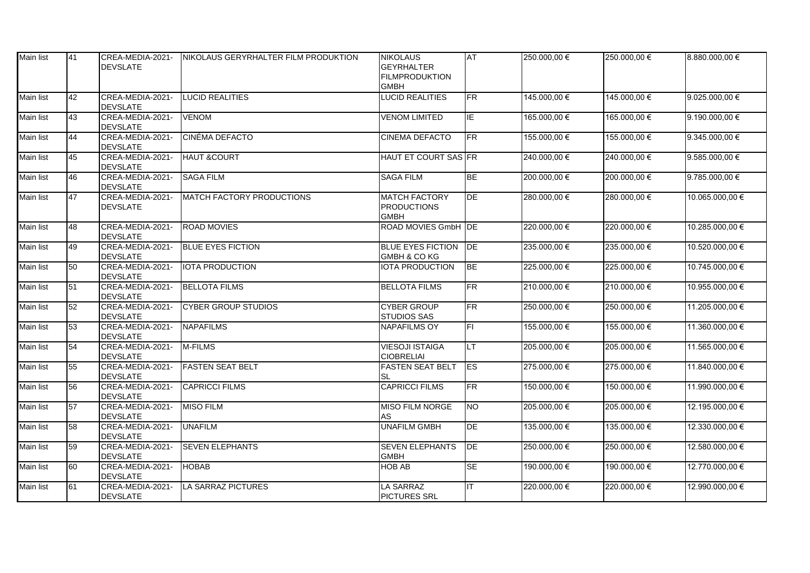| Main list        | 41              | CREA-MEDIA-2021-<br><b>DEVSLATE</b> | NIKOLAUS GERYRHALTER FILM PRODUKTION | <b>NIKOLAUS</b><br><b>GEYRHALTER</b><br><b>FILMPRODUKTION</b><br><b>GMBH</b> | <b>AT</b>       | 250.000,00€  | 250.000,00 € | 8.880.000,00 €     |
|------------------|-----------------|-------------------------------------|--------------------------------------|------------------------------------------------------------------------------|-----------------|--------------|--------------|--------------------|
| <b>Main list</b> | 42              | CREA-MEDIA-2021-<br><b>DEVSLATE</b> | <b>LUCID REALITIES</b>               | <b>LUCID REALITIES</b>                                                       | FR              | 145.000,00 € | 145.000,00 € | 9.025.000,00 €     |
| Main list        | 43              | CREA-MEDIA-2021-<br><b>DEVSLATE</b> | <b>VENOM</b>                         | <b>VENOM LIMITED</b>                                                         | IE              | 165.000,00 € | 165.000,00 € | 9.190.000,00 €     |
| Main list        | 44              | CREA-MEDIA-2021-<br><b>DEVSLATE</b> | <b>CINÉMA DEFACTO</b>                | <b>CINEMA DEFACTO</b>                                                        | <b>FR</b>       | 155.000,00 € | 155.000,00 € | $9.345.000,00 \in$ |
| Main list        | 45              | CREA-MEDIA-2021-<br><b>DEVSLATE</b> | <b>HAUT &amp;COURT</b>               | HAUT ET COURT SAS FR                                                         |                 | 240.000,00 € | 240.000,00 € | $9.585.000,00 \in$ |
| <b>Main list</b> | 46              | CREA-MEDIA-2021-<br><b>DEVSLATE</b> | <b>SAGA FILM</b>                     | <b>SAGA FILM</b>                                                             | <b>BE</b>       | 200.000,00 € | 200.000,00 € | $9.785.000,00 \in$ |
| Main list        | 47              | CREA-MEDIA-2021-<br><b>DEVSLATE</b> | MATCH FACTORY PRODUCTIONS            | <b>MATCH FACTORY</b><br><b>PRODUCTIONS</b><br><b>GMBH</b>                    | DE              | 280.000,00 € | 280.000,00 € | 10.065.000,00 €    |
| Main list        | 48              | CREA-MEDIA-2021-<br><b>DEVSLATE</b> | <b>IROAD MOVIES</b>                  | ROAD MOVIES GmbH DE                                                          |                 | 220.000,00 € | 220.000,00 € | 10.285.000,00 €    |
| <b>Main list</b> | 49              | CREA-MEDIA-2021-<br><b>DEVSLATE</b> | <b>BLUE EYES FICTION</b>             | <b>BLUE EYES FICTION</b><br>GMBH & CO KG                                     | DE              | 235.000,00 € | 235.000,00 € | 10.520.000,00 €    |
| <b>Main list</b> | 50              | CREA-MEDIA-2021-<br><b>DEVSLATE</b> | <b>IOTA PRODUCTION</b>               | <b>IOTA PRODUCTION</b>                                                       | <b>BE</b>       | 225.000,00 € | 225.000,00 € | 10.745.000,00 €    |
| Main list        | $\overline{51}$ | CREA-MEDIA-2021-<br><b>DEVSLATE</b> | <b>BELLOTA FILMS</b>                 | <b>BELLOTA FILMS</b>                                                         | FR              | 210.000,00€  | 210.000,00 € | 10.955.000,00 €    |
| <b>Main list</b> | 52              | CREA-MEDIA-2021-<br><b>DEVSLATE</b> | <b>CYBER GROUP STUDIOS</b>           | <b>CYBER GROUP</b><br><b>STUDIOS SAS</b>                                     | <b>FR</b>       | 250.000,00€  | 250.000,00 € | 11.205.000,00 €    |
| Main list        | 53              | CREA-MEDIA-2021-<br><b>DEVSLATE</b> | <b>NAPAFILMS</b>                     | <b>NAPAFILMS OY</b>                                                          | F1              | 155.000,00 € | 155.000,00 € | 11.360.000,00 €    |
| Main list        | 54              | CREA-MEDIA-2021-<br><b>DEVSLATE</b> | M-FILMS                              | <b>VIESOJI ISTAIGA</b><br><b>CIOBRELIAI</b>                                  | LT              | 205.000,00 € | 205.000,00 € | 11.565.000,00 €    |
| <b>Main list</b> | 55              | CREA-MEDIA-2021-<br><b>DEVSLATE</b> | <b>FASTEN SEAT BELT</b>              | <b>FASTEN SEAT BELT</b><br><b>SL</b>                                         | $\overline{FS}$ | 275.000,00 € | 275.000,00 € | 11.840.000,00 €    |
| <b>Main list</b> | 56              | CREA-MEDIA-2021-<br><b>DEVSLATE</b> | <b>CAPRICCI FILMS</b>                | <b>CAPRICCI FILMS</b>                                                        | FR              | 150.000,00 € | 150.000,00 € | 11.990.000,00 €    |
| Main list        | 57              | CREA-MEDIA-2021-<br><b>DEVSLATE</b> | <b>MISO FILM</b>                     | <b>MISO FILM NORGE</b><br><b>AS</b>                                          | <b>NO</b>       | 205.000,00 € | 205.000,00 € | 12.195.000,00 €    |
| <b>Main list</b> | 58              | CREA-MEDIA-2021-<br><b>DEVSLATE</b> | <b>UNAFILM</b>                       | <b>UNAFILM GMBH</b>                                                          | DE              | 135.000,00 € | 135.000,00 € | 12.330.000,00 €    |
| Main list        | 59              | CREA-MEDIA-2021-<br><b>DEVSLATE</b> | <b>SEVEN ELEPHANTS</b>               | <b>SEVEN ELEPHANTS</b><br><b>GMBH</b>                                        | DE              | 250.000,00 € | 250.000,00 € | 12.580.000,00 €    |
| <b>Main list</b> | 60              | CREA-MEDIA-2021-<br><b>DEVSLATE</b> | <b>HOBAB</b>                         | <b>HOB AB</b>                                                                | <b>SE</b>       | 190.000,00 € | 190.000,00 € | 12.770.000,00 €    |
| Main list        | 61              | CREA-MEDIA-2021-<br><b>DEVSLATE</b> | LA SARRAZ PICTURES                   | LA SARRAZ<br><b>PICTURES SRL</b>                                             | IT              | 220.000,00 € | 220.000,00 € | 12.990.000,00 €    |